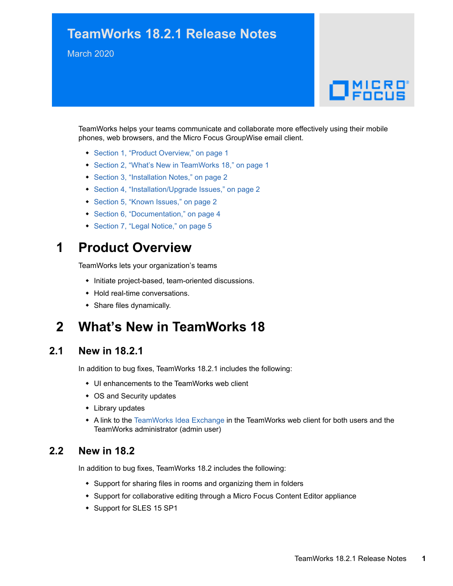## **TeamWorks 18.2.1 Release Notes**

March 2020

# $\Box$ MICRO

TeamWorks helps your teams communicate and collaborate more effectively using their mobile phones, web browsers, and the Micro Focus GroupWise email client.

- [Section 1, "Product Overview," on page 1](#page-0-0)
- [Section 2, "What's New in TeamWorks 18," on page 1](#page-0-1)
- ◆ [Section 3, "Installation Notes," on page 2](#page-1-0)
- [Section 4, "Installation/Upgrade Issues," on page 2](#page-1-1)
- [Section 5, "Known Issues," on page 2](#page-1-2)
- [Section 6, "Documentation," on page 4](#page-3-0)
- ◆ [Section 7, "Legal Notice," on page 5](#page-4-0)

### <span id="page-0-0"></span>**1 Product Overview**

TeamWorks lets your organization's teams

- $\bullet$  Initiate project-based, team-oriented discussions.
- Hold real-time conversations.
- Share files dynamically.

## <span id="page-0-1"></span>**2 What's New in TeamWorks 18**

#### **2.1 New in 18.2.1**

In addition to bug fixes, TeamWorks 18.2.1 includes the following:

- UI enhancements to the TeamWorks web client
- OS and Security updates
- Library updates
- A link to the [TeamWorks Idea Exchange](https://community.microfocus.com/t5/TeamWorks-Idea-Exchange/idb-p/TeamWorksIdeas) in the TeamWorks web client for both users and the TeamWorks administrator (admin user)

#### **2.2 New in 18.2**

In addition to bug fixes, TeamWorks 18.2 includes the following:

- Support for sharing files in rooms and organizing them in folders
- Support for collaborative editing through a Micro Focus Content Editor appliance
- Support for SLES 15 SP1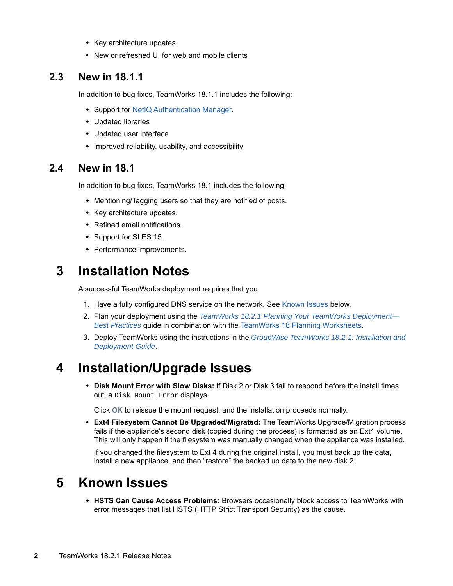- Key architecture updates
- New or refreshed UI for web and mobile clients

#### **2.3 New in 18.1.1**

In addition to bug fixes, TeamWorks 18.1.1 includes the following:

- Support for [NetIQ Authentication Manager](https://www.novell.com/documentation/tw-18/pdfdoc/tw-admin/tw-admin.pdf#rproxyandnam).
- Updated libraries
- Updated user interface
- Improved reliability, usability, and accessibility

#### **2.4 New in 18.1**

In addition to bug fixes, TeamWorks 18.1 includes the following:

- Mentioning/Tagging users so that they are notified of posts.
- Key architecture updates.
- Refined email notifications.
- Support for SLES 15.
- Performance improvements.

## <span id="page-1-0"></span>**3 Installation Notes**

A successful TeamWorks deployment requires that you:

- 1. Have a fully configured DNS service on the network. See [Known Issues](#page-1-2) below.
- 2. Plan your deployment using the *[TeamWorks 18.2.1 Planning Your TeamWorks Deployment—](https://www.novell.com/documentation/tw-18/pdfdoc/tw-plan-deploy/tw-plan-deploy.pdf#bookinfo) Best Practices* guide in combination with the [TeamWorks 18 Planning Worksheets.](../../resources/tw-bp-planning-worksheet.xlsx)
- 3. Deploy TeamWorks using the instructions in the *[GroupWise TeamWorks 18.2.1: Installation and](https://www.novell.com/documentation/tw-18/pdfdoc/tw-inst/tw-inst.pdf#bookinfo)  Deployment Guide*.

## <span id="page-1-1"></span>**4 Installation/Upgrade Issues**

 **Disk Mount Error with Slow Disks:** If Disk 2 or Disk 3 fail to respond before the install times out, a Disk Mount Error displays.

Click **OK** to reissue the mount request, and the installation proceeds normally.

 **Ext4 Filesystem Cannot Be Upgraded/Migrated:** The TeamWorks Upgrade/Migration process fails if the appliance's second disk (copied during the process) is formatted as an Ext4 volume. This will only happen if the filesystem was manually changed when the appliance was installed.

If you changed the filesystem to Ext 4 during the original install, you must back up the data, install a new appliance, and then "restore" the backed up data to the new disk 2.

## <span id="page-1-2"></span>**5 Known Issues**

 **HSTS Can Cause Access Problems:** Browsers occasionally block access to TeamWorks with error messages that list HSTS (HTTP Strict Transport Security) as the cause.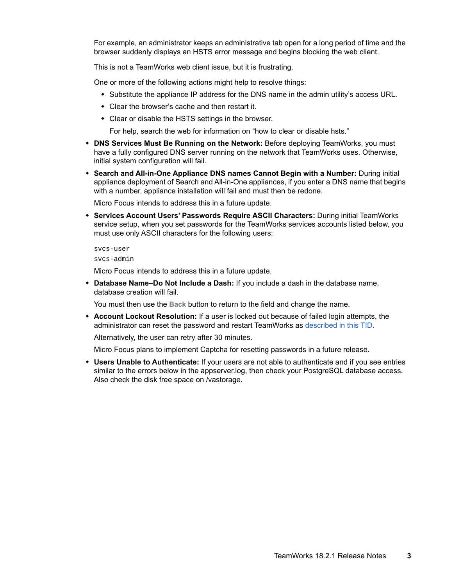For example, an administrator keeps an administrative tab open for a long period of time and the browser suddenly displays an HSTS error message and begins blocking the web client.

This is not a TeamWorks web client issue, but it is frustrating.

One or more of the following actions might help to resolve things:

- Substitute the appliance IP address for the DNS name in the admin utility's access URL.
- Clear the browser's cache and then restart it.
- Clear or disable the HSTS settings in the browser.

For help, search the web for information on "how to clear or disable hsts."

- **DNS Services Must Be Running on the Network:** Before deploying TeamWorks, you must have a fully configured DNS server running on the network that TeamWorks uses. Otherwise, initial system configuration will fail.
- **Search and All-in-One Appliance DNS names Cannot Begin with a Number:** During initial appliance deployment of Search and All-in-One appliances, if you enter a DNS name that begins with a number, appliance installation will fail and must then be redone.

Micro Focus intends to address this in a future update.

 **Services Account Users' Passwords Require ASCII Characters:** During initial TeamWorks service setup, when you set passwords for the TeamWorks services accounts listed below, you must use only ASCII characters for the following users:

```
svcs-user
```
svcs-admin

Micro Focus intends to address this in a future update.

 **Database Name–Do Not Include a Dash:** If you include a dash in the database name, database creation will fail.

You must then use the **Back** button to return to the field and change the name.

 **Account Lockout Resolution:** If a user is locked out because of failed login attempts, the administrator can reset the password and restart TeamWorks as [described in this TID.](https://support.microfocus.com/kb/doc.php?id=7023678)

Alternatively, the user can retry after 30 minutes.

Micro Focus plans to implement Captcha for resetting passwords in a future release.

 **Users Unable to Authenticate:** If your users are not able to authenticate and if you see entries similar to the errors below in the appserver.log, then check your PostgreSQL database access. Also check the disk free space on /vastorage.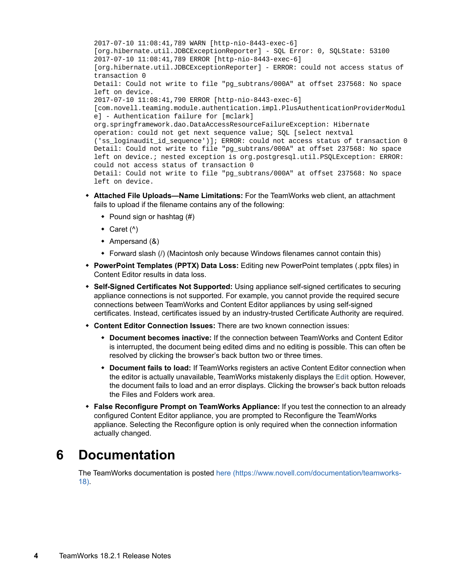2017-07-10 11:08:41,789 WARN [http-nio-8443-exec-6] [org.hibernate.util.JDBCExceptionReporter] - SQL Error: 0, SQLState: 53100 2017-07-10 11:08:41,789 ERROR [http-nio-8443-exec-6] [org.hibernate.util.JDBCExceptionReporter] - ERROR: could not access status of transaction 0 Detail: Could not write to file "pg\_subtrans/000A" at offset 237568: No space left on device. 2017-07-10 11:08:41,790 ERROR [http-nio-8443-exec-6] [com.novell.teaming.module.authentication.impl.PlusAuthenticationProviderModul e] - Authentication failure for [mclark] org.springframework.dao.DataAccessResourceFailureException: Hibernate operation: could not get next sequence value; SQL [select nextval ('ss\_loginaudit\_id\_sequence')]; ERROR: could not access status of transaction 0 Detail: Could not write to file "pg\_subtrans/000A" at offset 237568: No space left on device.; nested exception is org.postgresql.util.PSQLException: ERROR: could not access status of transaction 0 Detail: Could not write to file "pg\_subtrans/000A" at offset 237568: No space left on device.

- **Attached File Uploads—Name Limitations:** For the TeamWorks web client, an attachment fails to upload if the filename contains any of the following:
	- $\bullet$  Pound sign or hashtag (#)
	- $\triangleleft$  Caret ( $\wedge$ )
	- Ampersand (&)
	- Forward slash (/) (Macintosh only because Windows filenames cannot contain this)
- **PowerPoint Templates (PPTX) Data Loss:** Editing new PowerPoint templates (.pptx files) in Content Editor results in data loss.
- **Self-Signed Certificates Not Supported:** Using appliance self-signed certificates to securing appliance connections is not supported. For example, you cannot provide the required secure connections between TeamWorks and Content Editor appliances by using self-signed certificates. Instead, certificates issued by an industry-trusted Certificate Authority are required.
- **Content Editor Connection Issues:** There are two known connection issues:
	- **Document becomes inactive:** If the connection between TeamWorks and Content Editor is interrupted, the document being edited dims and no editing is possible. This can often be resolved by clicking the browser's back button two or three times.
	- **Document fails to load:** If TeamWorks registers an active Content Editor connection when the editor is actually unavailable, TeamWorks mistakenly displays the **Edit** option. However, the document fails to load and an error displays. Clicking the browser's back button reloads the Files and Folders work area.
- **False Reconfigure Prompt on TeamWorks Appliance:** If you test the connection to an already configured Content Editor appliance, you are prompted to Reconfigure the TeamWorks appliance. Selecting the Reconfigure option is only required when the connection information actually changed.

## <span id="page-3-0"></span>**6 Documentation**

The TeamWorks documentation is posted [here](https://www.novell.com/documentation/teamworks-18) (https://www.novell.com/documentation/teamworks-18).